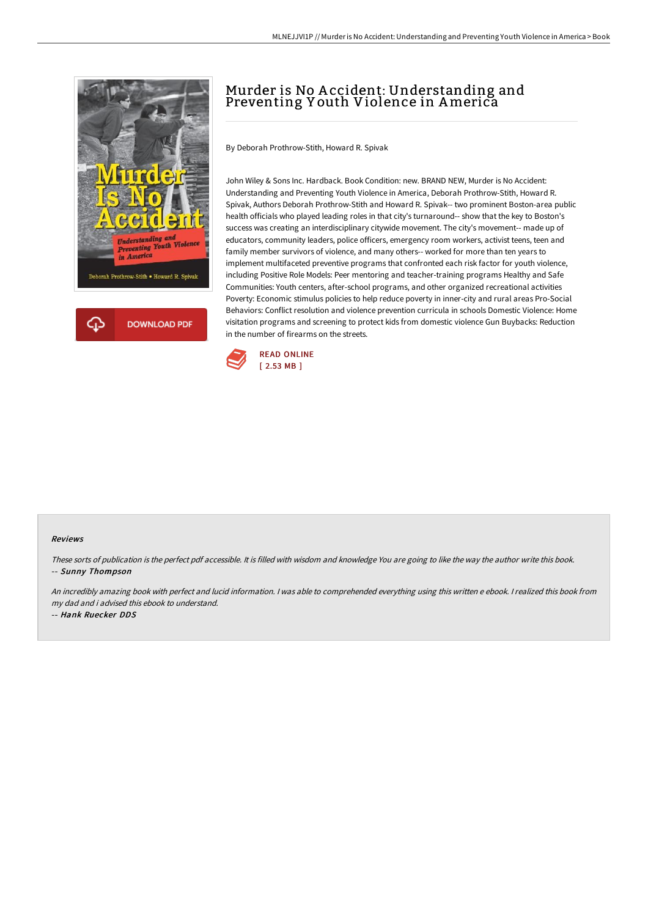

## Murder is No A ccident: Understanding and Preventing Y outh Violence in America

By Deborah Prothrow-Stith, Howard R. Spivak

John Wiley & Sons Inc. Hardback. Book Condition: new. BRAND NEW, Murder is No Accident: Understanding and Preventing Youth Violence in America, Deborah Prothrow-Stith, Howard R. Spivak, Authors Deborah Prothrow-Stith and Howard R. Spivak-- two prominent Boston-area public health officials who played leading roles in that city's turnaround-- show that the key to Boston's success was creating an interdisciplinary citywide movement. The city's movement-- made up of educators, community leaders, police officers, emergency room workers, activist teens, teen and family member survivors of violence, and many others-- worked for more than ten years to implement multifaceted preventive programs that confronted each risk factor for youth violence, including Positive Role Models: Peer mentoring and teacher-training programs Healthy and Safe Communities: Youth centers, after-school programs, and other organized recreational activities Poverty: Economic stimulus policies to help reduce poverty in inner-city and rural areas Pro-Social Behaviors: Conflict resolution and violence prevention curricula in schools Domestic Violence: Home visitation programs and screening to protect kids from domestic violence Gun Buybacks: Reduction in the number of firearms on the streets.



## Reviews

These sorts of publication is the perfect pdf accessible. It is filled with wisdom and knowledge You are going to like the way the author write this book. -- Sunny Thompson

An incredibly amazing book with perfect and lucid information. <sup>I</sup> was able to comprehended everything using this written <sup>e</sup> ebook. <sup>I</sup> realized this book from my dad and i advised this ebook to understand.

-- Hank Ruecker DDS